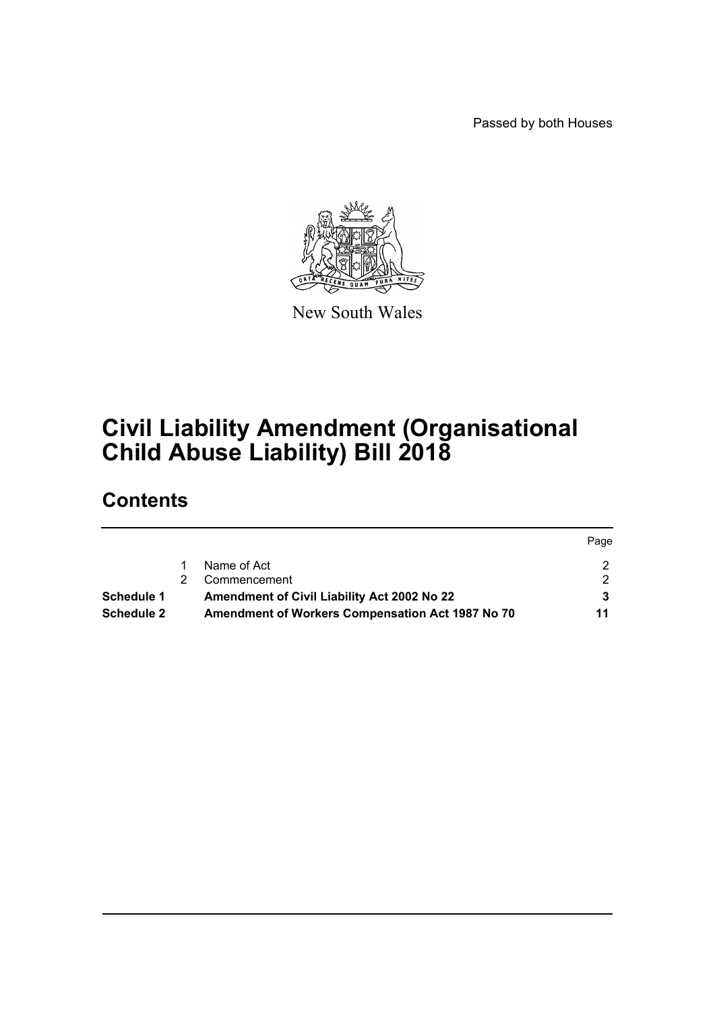Passed by both Houses

Page



New South Wales

# **Civil Liability Amendment (Organisational Child Abuse Liability) Bill 2018**

# **Contents**

|                   |   |                                                    | Page |
|-------------------|---|----------------------------------------------------|------|
|                   |   | Name of Act                                        |      |
|                   | 2 | Commencement                                       |      |
| Schedule 1        |   | <b>Amendment of Civil Liability Act 2002 No 22</b> |      |
| <b>Schedule 2</b> |   | Amendment of Workers Compensation Act 1987 No 70   | 11   |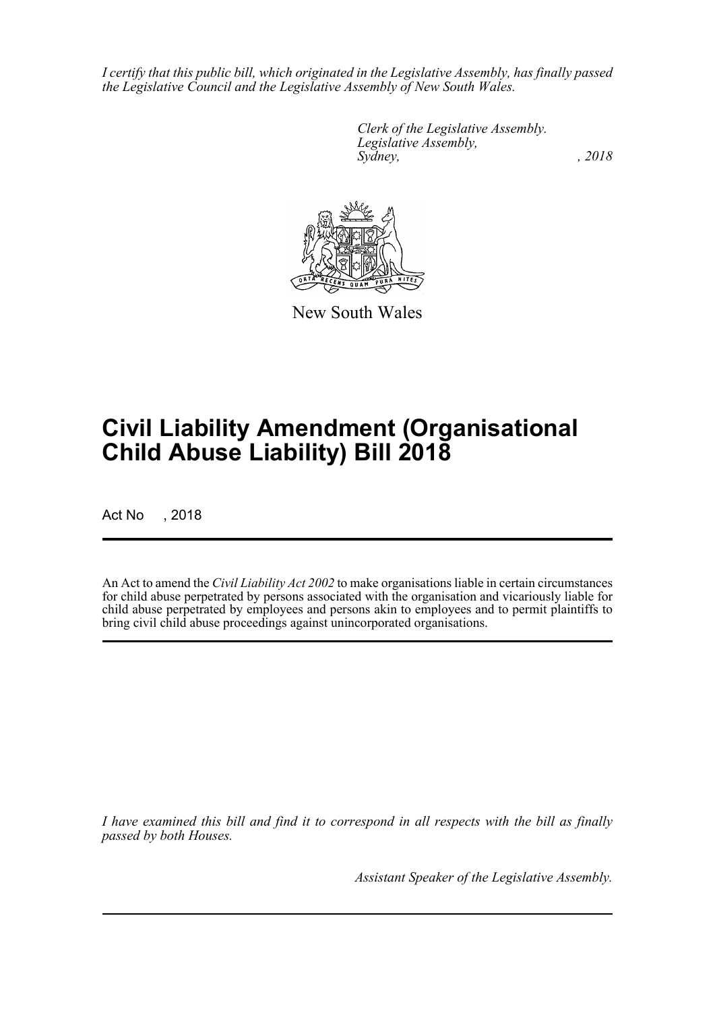*I certify that this public bill, which originated in the Legislative Assembly, has finally passed the Legislative Council and the Legislative Assembly of New South Wales.*

> *Clerk of the Legislative Assembly. Legislative Assembly, Sydney, , 2018*



New South Wales

# **Civil Liability Amendment (Organisational Child Abuse Liability) Bill 2018**

Act No , 2018

An Act to amend the *Civil Liability Act 2002* to make organisations liable in certain circumstances for child abuse perpetrated by persons associated with the organisation and vicariously liable for child abuse perpetrated by employees and persons akin to employees and to permit plaintiffs to bring civil child abuse proceedings against unincorporated organisations.

*I have examined this bill and find it to correspond in all respects with the bill as finally passed by both Houses.*

*Assistant Speaker of the Legislative Assembly.*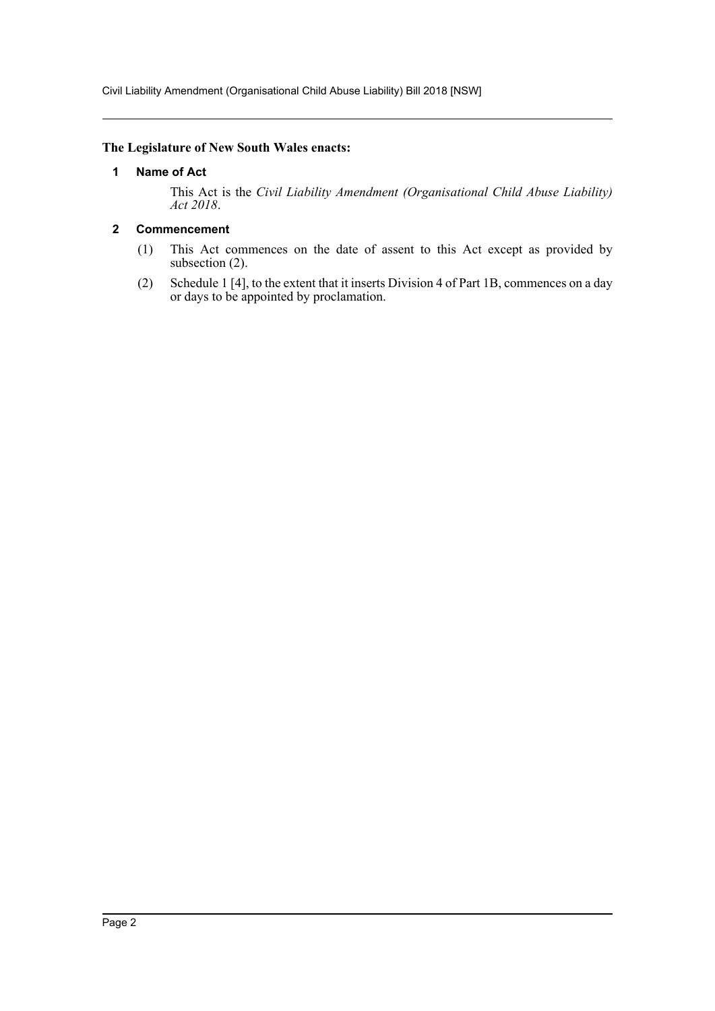#### <span id="page-2-0"></span>**The Legislature of New South Wales enacts:**

## **1 Name of Act**

This Act is the *Civil Liability Amendment (Organisational Child Abuse Liability) Act 2018*.

# <span id="page-2-1"></span>**2 Commencement**

- (1) This Act commences on the date of assent to this Act except as provided by subsection (2).
- (2) Schedule 1 [4], to the extent that it inserts Division 4 of Part 1B, commences on a day or days to be appointed by proclamation.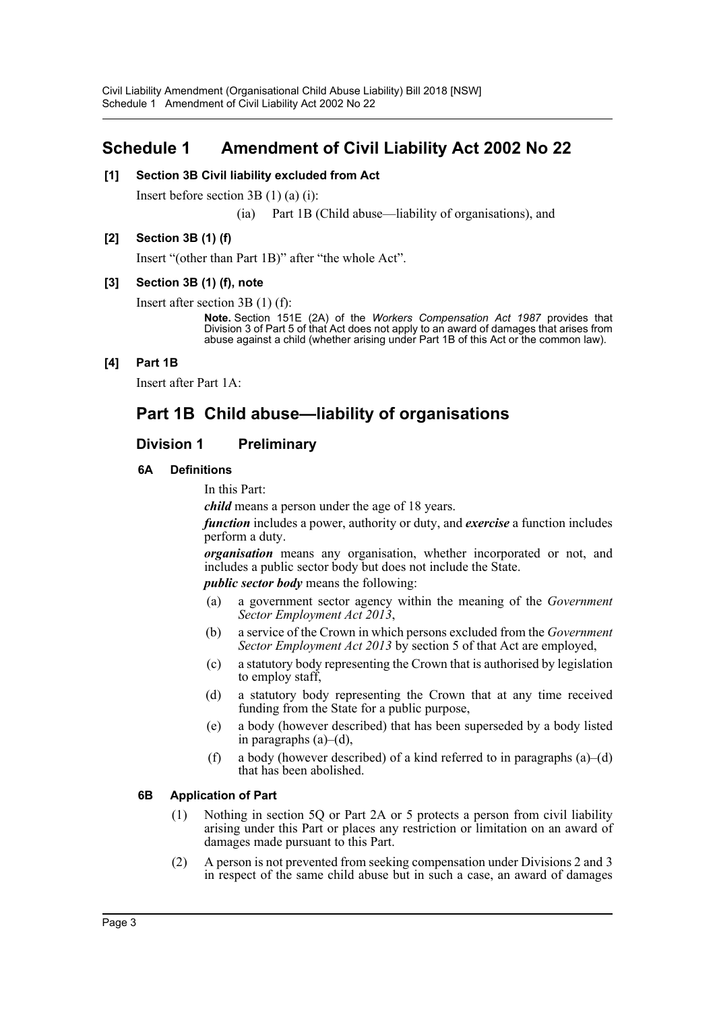# <span id="page-3-0"></span>**Schedule 1 Amendment of Civil Liability Act 2002 No 22**

# **[1] Section 3B Civil liability excluded from Act**

Insert before section 3B (1) (a) (i):

(ia) Part 1B (Child abuse—liability of organisations), and

# **[2] Section 3B (1) (f)**

Insert "(other than Part 1B)" after "the whole Act".

## **[3] Section 3B (1) (f), note**

Insert after section 3B (1) (f):

**Note.** Section 151E (2A) of the *Workers Compensation Act 1987* provides that Division 3 of Part 5 of that Act does not apply to an award of damages that arises from abuse against a child (whether arising under Part 1B of this Act or the common law).

# **[4] Part 1B**

Insert after Part 1A:

# **Part 1B Child abuse—liability of organisations**

# **Division 1 Preliminary**

## **6A Definitions**

In this Part:

*child* means a person under the age of 18 years.

*function* includes a power, authority or duty, and *exercise* a function includes perform a duty.

*organisation* means any organisation, whether incorporated or not, and includes a public sector body but does not include the State.

*public sector body* means the following:

- (a) a government sector agency within the meaning of the *Government Sector Employment Act 2013*,
- (b) a service of the Crown in which persons excluded from the *Government Sector Employment Act 2013* by section 5 of that Act are employed,
- (c) a statutory body representing the Crown that is authorised by legislation to employ staff,
- (d) a statutory body representing the Crown that at any time received funding from the State for a public purpose,
- (e) a body (however described) that has been superseded by a body listed in paragraphs (a)–(d),
- (f) a body (however described) of a kind referred to in paragraphs  $(a)$ –(d) that has been abolished.

## **6B Application of Part**

- (1) Nothing in section 5Q or Part 2A or 5 protects a person from civil liability arising under this Part or places any restriction or limitation on an award of damages made pursuant to this Part.
- (2) A person is not prevented from seeking compensation under Divisions 2 and 3 in respect of the same child abuse but in such a case, an award of damages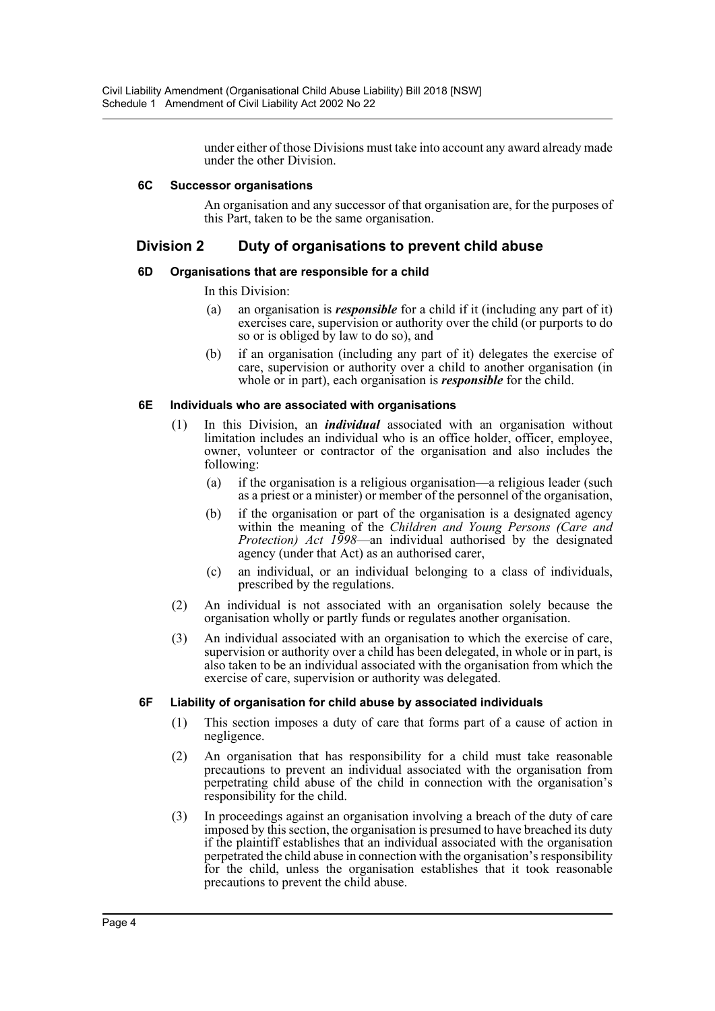under either of those Divisions must take into account any award already made under the other Division.

#### **6C Successor organisations**

An organisation and any successor of that organisation are, for the purposes of this Part, taken to be the same organisation.

# **Division 2 Duty of organisations to prevent child abuse**

#### **6D Organisations that are responsible for a child**

#### In this Division:

- (a) an organisation is *responsible* for a child if it (including any part of it) exercises care, supervision or authority over the child (or purports to do so or is obliged by law to do so), and
- (b) if an organisation (including any part of it) delegates the exercise of care, supervision or authority over a child to another organisation (in whole or in part), each organisation is *responsible* for the child.

#### **6E Individuals who are associated with organisations**

- (1) In this Division, an *individual* associated with an organisation without limitation includes an individual who is an office holder, officer, employee, owner, volunteer or contractor of the organisation and also includes the following:
	- (a) if the organisation is a religious organisation—a religious leader (such as a priest or a minister) or member of the personnel of the organisation,
	- (b) if the organisation or part of the organisation is a designated agency within the meaning of the *Children and Young Persons (Care and Protection) Act 1998*—an individual authorised by the designated agency (under that Act) as an authorised carer,
	- (c) an individual, or an individual belonging to a class of individuals, prescribed by the regulations.
- (2) An individual is not associated with an organisation solely because the organisation wholly or partly funds or regulates another organisation.
- (3) An individual associated with an organisation to which the exercise of care, supervision or authority over a child has been delegated, in whole or in part, is also taken to be an individual associated with the organisation from which the exercise of care, supervision or authority was delegated.

## **6F Liability of organisation for child abuse by associated individuals**

- (1) This section imposes a duty of care that forms part of a cause of action in negligence.
- (2) An organisation that has responsibility for a child must take reasonable precautions to prevent an individual associated with the organisation from perpetrating child abuse of the child in connection with the organisation's responsibility for the child.
- (3) In proceedings against an organisation involving a breach of the duty of care imposed by this section, the organisation is presumed to have breached its duty if the plaintiff establishes that an individual associated with the organisation perpetrated the child abuse in connection with the organisation's responsibility for the child, unless the organisation establishes that it took reasonable precautions to prevent the child abuse.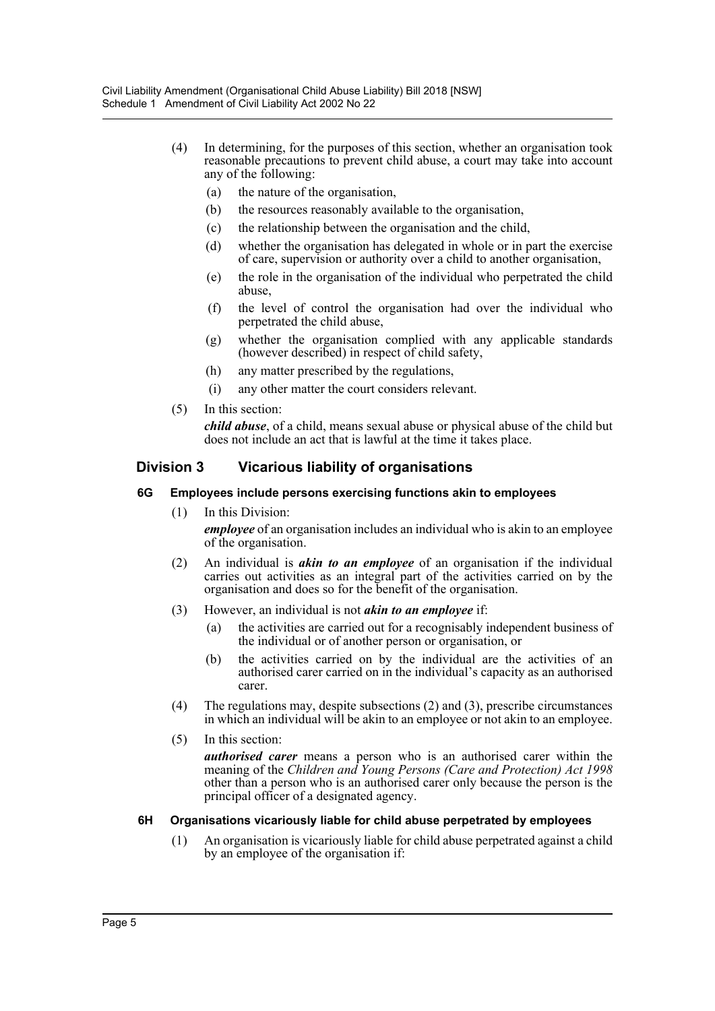- (4) In determining, for the purposes of this section, whether an organisation took reasonable precautions to prevent child abuse, a court may take into account any of the following:
	- (a) the nature of the organisation,
	- (b) the resources reasonably available to the organisation,
	- (c) the relationship between the organisation and the child,
	- (d) whether the organisation has delegated in whole or in part the exercise of care, supervision or authority over a child to another organisation,
	- (e) the role in the organisation of the individual who perpetrated the child abuse,
	- (f) the level of control the organisation had over the individual who perpetrated the child abuse,
	- (g) whether the organisation complied with any applicable standards (however described) in respect of child safety,
	- (h) any matter prescribed by the regulations,
	- (i) any other matter the court considers relevant.
- (5) In this section:

*child abuse*, of a child, means sexual abuse or physical abuse of the child but does not include an act that is lawful at the time it takes place.

# **Division 3 Vicarious liability of organisations**

## **6G Employees include persons exercising functions akin to employees**

- (1) In this Division: *employee* of an organisation includes an individual who is akin to an employee of the organisation.
- (2) An individual is *akin to an employee* of an organisation if the individual carries out activities as an integral part of the activities carried on by the organisation and does so for the benefit of the organisation.
- (3) However, an individual is not *akin to an employee* if:
	- (a) the activities are carried out for a recognisably independent business of the individual or of another person or organisation, or
	- (b) the activities carried on by the individual are the activities of an authorised carer carried on in the individual's capacity as an authorised carer.
- (4) The regulations may, despite subsections (2) and (3), prescribe circumstances in which an individual will be akin to an employee or not akin to an employee.
- (5) In this section:

*authorised carer* means a person who is an authorised carer within the meaning of the *Children and Young Persons (Care and Protection) Act 1998* other than a person who is an authorised carer only because the person is the principal officer of a designated agency.

# **6H Organisations vicariously liable for child abuse perpetrated by employees**

(1) An organisation is vicariously liable for child abuse perpetrated against a child by an employee of the organisation if: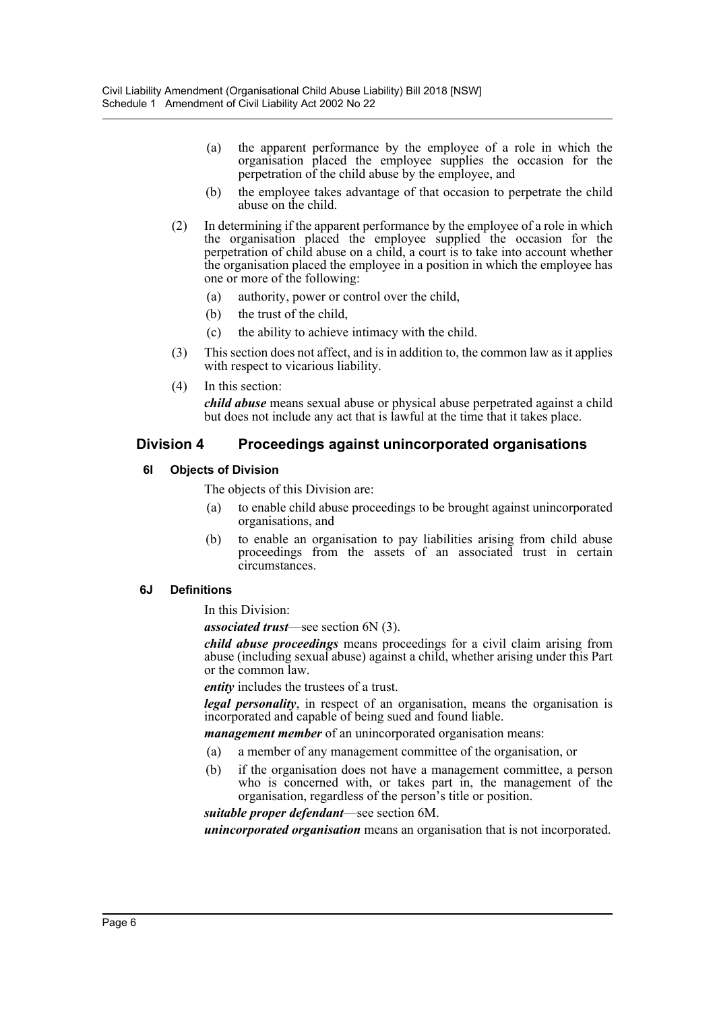- (a) the apparent performance by the employee of a role in which the organisation placed the employee supplies the occasion for the perpetration of the child abuse by the employee, and
- (b) the employee takes advantage of that occasion to perpetrate the child abuse on the child.
- (2) In determining if the apparent performance by the employee of a role in which the organisation placed the employee supplied the occasion for the perpetration of child abuse on a child, a court is to take into account whether the organisation placed the employee in a position in which the employee has one or more of the following:
	- (a) authority, power or control over the child,
	- (b) the trust of the child,
	- (c) the ability to achieve intimacy with the child.
- (3) This section does not affect, and is in addition to, the common law as it applies with respect to vicarious liability.
- (4) In this section:

*child abuse* means sexual abuse or physical abuse perpetrated against a child but does not include any act that is lawful at the time that it takes place.

# **Division 4 Proceedings against unincorporated organisations**

#### **6I Objects of Division**

The objects of this Division are:

- (a) to enable child abuse proceedings to be brought against unincorporated organisations, and
- (b) to enable an organisation to pay liabilities arising from child abuse proceedings from the assets of an associated trust in certain circumstances.

#### **6J Definitions**

In this Division:

*associated trust*—see section 6N (3).

*child abuse proceedings* means proceedings for a civil claim arising from abuse (including sexual abuse) against a child, whether arising under this Part or the common law.

*entity* includes the trustees of a trust.

*legal personality*, in respect of an organisation, means the organisation is incorporated and capable of being sued and found liable.

*management member* of an unincorporated organisation means:

- (a) a member of any management committee of the organisation, or
- (b) if the organisation does not have a management committee, a person who is concerned with, or takes part in, the management of the organisation, regardless of the person's title or position.

*suitable proper defendant*—see section 6M.

*unincorporated organisation* means an organisation that is not incorporated.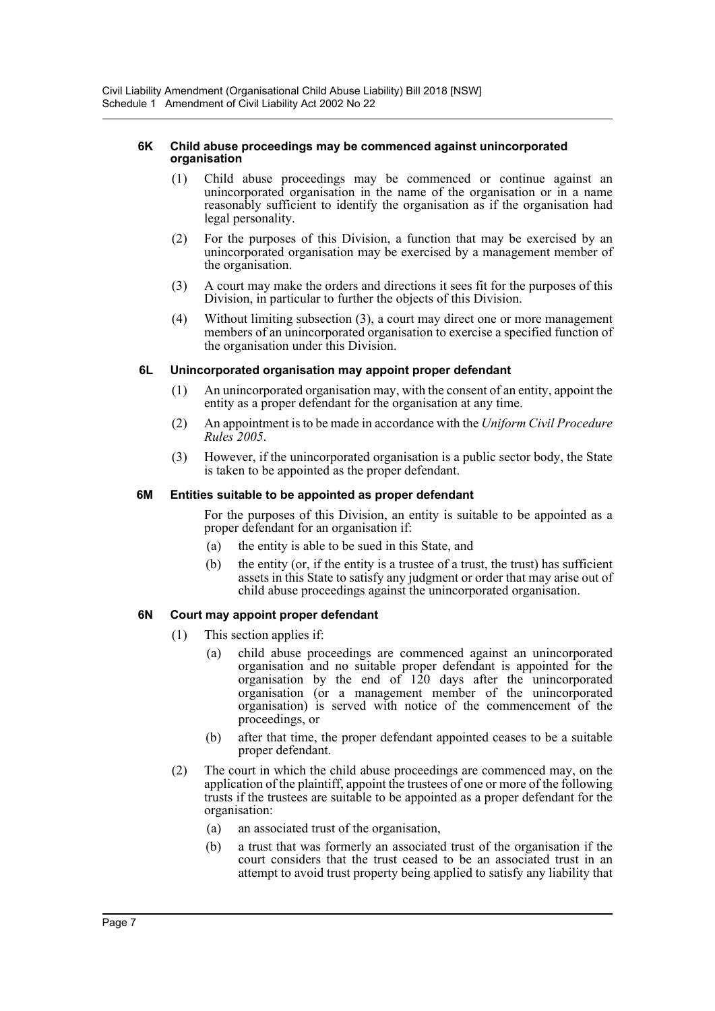#### **6K Child abuse proceedings may be commenced against unincorporated organisation**

- (1) Child abuse proceedings may be commenced or continue against an unincorporated organisation in the name of the organisation or in a name reasonably sufficient to identify the organisation as if the organisation had legal personality.
- (2) For the purposes of this Division, a function that may be exercised by an unincorporated organisation may be exercised by a management member of the organisation.
- (3) A court may make the orders and directions it sees fit for the purposes of this Division, in particular to further the objects of this Division.
- (4) Without limiting subsection (3), a court may direct one or more management members of an unincorporated organisation to exercise a specified function of the organisation under this Division.

# **6L Unincorporated organisation may appoint proper defendant**

- (1) An unincorporated organisation may, with the consent of an entity, appoint the entity as a proper defendant for the organisation at any time.
- (2) An appointment is to be made in accordance with the *Uniform Civil Procedure Rules 2005*.
- (3) However, if the unincorporated organisation is a public sector body, the State is taken to be appointed as the proper defendant.

# **6M Entities suitable to be appointed as proper defendant**

For the purposes of this Division, an entity is suitable to be appointed as a proper defendant for an organisation if:

- (a) the entity is able to be sued in this State, and
- (b) the entity (or, if the entity is a trustee of a trust, the trust) has sufficient assets in this State to satisfy any judgment or order that may arise out of child abuse proceedings against the unincorporated organisation.

# **6N Court may appoint proper defendant**

- (1) This section applies if:
	- (a) child abuse proceedings are commenced against an unincorporated organisation and no suitable proper defendant is appointed for the organisation by the end of 120 days after the unincorporated organisation (or a management member of the unincorporated organisation) is served with notice of the commencement of the proceedings, or
	- (b) after that time, the proper defendant appointed ceases to be a suitable proper defendant.
- (2) The court in which the child abuse proceedings are commenced may, on the application of the plaintiff, appoint the trustees of one or more of the following trusts if the trustees are suitable to be appointed as a proper defendant for the organisation:
	- (a) an associated trust of the organisation,
	- (b) a trust that was formerly an associated trust of the organisation if the court considers that the trust ceased to be an associated trust in an attempt to avoid trust property being applied to satisfy any liability that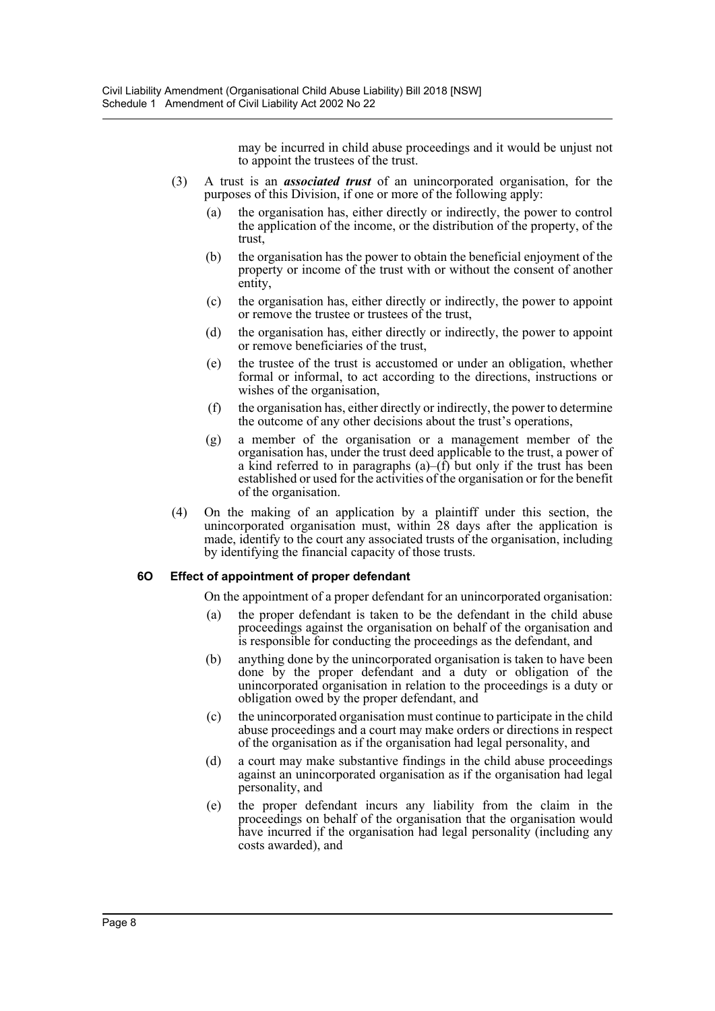may be incurred in child abuse proceedings and it would be unjust not to appoint the trustees of the trust.

- (3) A trust is an *associated trust* of an unincorporated organisation, for the purposes of this Division, if one or more of the following apply:
	- (a) the organisation has, either directly or indirectly, the power to control the application of the income, or the distribution of the property, of the trust,
	- (b) the organisation has the power to obtain the beneficial enjoyment of the property or income of the trust with or without the consent of another entity,
	- (c) the organisation has, either directly or indirectly, the power to appoint or remove the trustee or trustees of the trust,
	- (d) the organisation has, either directly or indirectly, the power to appoint or remove beneficiaries of the trust,
	- (e) the trustee of the trust is accustomed or under an obligation, whether formal or informal, to act according to the directions, instructions or wishes of the organisation,
	- (f) the organisation has, either directly or indirectly, the power to determine the outcome of any other decisions about the trust's operations,
	- (g) a member of the organisation or a management member of the organisation has, under the trust deed applicable to the trust, a power of a kind referred to in paragraphs  $(a)$ – $(\hat{f})$  but only if the trust has been established or used for the activities of the organisation or for the benefit of the organisation.
- (4) On the making of an application by a plaintiff under this section, the unincorporated organisation must, within 28 days after the application is made, identify to the court any associated trusts of the organisation, including by identifying the financial capacity of those trusts.

## **6O Effect of appointment of proper defendant**

On the appointment of a proper defendant for an unincorporated organisation:

- (a) the proper defendant is taken to be the defendant in the child abuse proceedings against the organisation on behalf of the organisation and is responsible for conducting the proceedings as the defendant, and
- (b) anything done by the unincorporated organisation is taken to have been done by the proper defendant and a duty or obligation of the unincorporated organisation in relation to the proceedings is a duty or obligation owed by the proper defendant, and
- (c) the unincorporated organisation must continue to participate in the child abuse proceedings and a court may make orders or directions in respect of the organisation as if the organisation had legal personality, and
- (d) a court may make substantive findings in the child abuse proceedings against an unincorporated organisation as if the organisation had legal personality, and
- (e) the proper defendant incurs any liability from the claim in the proceedings on behalf of the organisation that the organisation would have incurred if the organisation had legal personality (including any costs awarded), and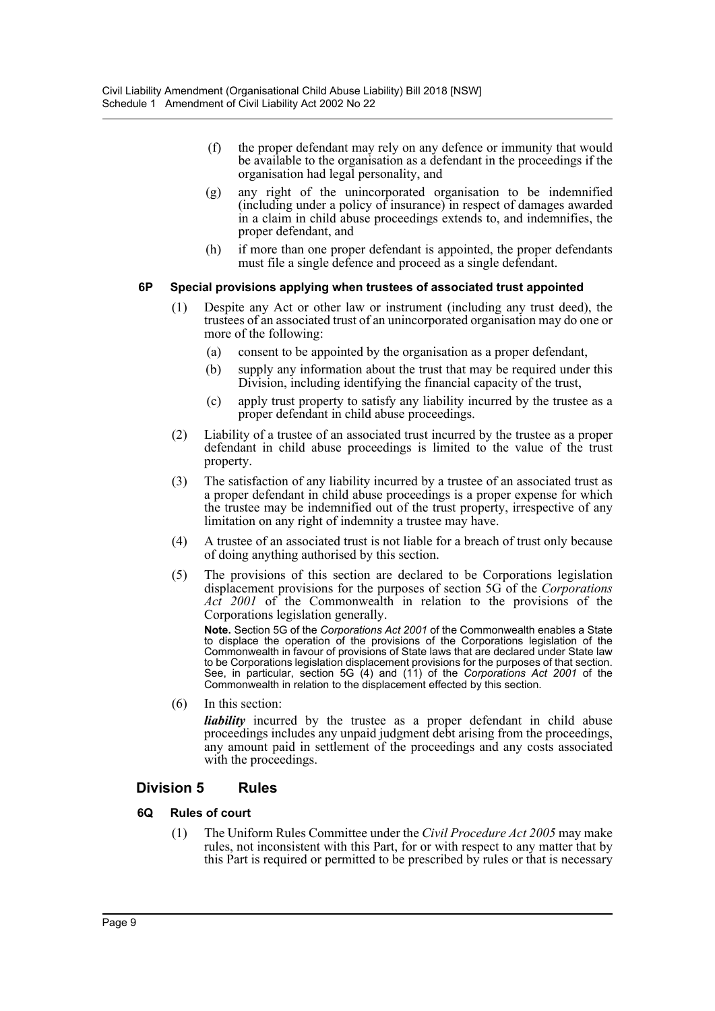- (f) the proper defendant may rely on any defence or immunity that would be available to the organisation as a defendant in the proceedings if the organisation had legal personality, and
- (g) any right of the unincorporated organisation to be indemnified (including under a policy of insurance) in respect of damages awarded in a claim in child abuse proceedings extends to, and indemnifies, the proper defendant, and
- (h) if more than one proper defendant is appointed, the proper defendants must file a single defence and proceed as a single defendant.

## **6P Special provisions applying when trustees of associated trust appointed**

- (1) Despite any Act or other law or instrument (including any trust deed), the trustees of an associated trust of an unincorporated organisation may do one or more of the following:
	- (a) consent to be appointed by the organisation as a proper defendant,
	- (b) supply any information about the trust that may be required under this Division, including identifying the financial capacity of the trust,
	- (c) apply trust property to satisfy any liability incurred by the trustee as a proper defendant in child abuse proceedings.
- (2) Liability of a trustee of an associated trust incurred by the trustee as a proper defendant in child abuse proceedings is limited to the value of the trust property.
- (3) The satisfaction of any liability incurred by a trustee of an associated trust as a proper defendant in child abuse proceedings is a proper expense for which the trustee may be indemnified out of the trust property, irrespective of any limitation on any right of indemnity a trustee may have.
- (4) A trustee of an associated trust is not liable for a breach of trust only because of doing anything authorised by this section.
- (5) The provisions of this section are declared to be Corporations legislation displacement provisions for the purposes of section 5G of the *Corporations Act 2001* of the Commonwealth in relation to the provisions of the Corporations legislation generally.

**Note.** Section 5G of the *Corporations Act 2001* of the Commonwealth enables a State to displace the operation of the provisions of the Corporations legislation of the Commonwealth in favour of provisions of State laws that are declared under State law to be Corporations legislation displacement provisions for the purposes of that section. See, in particular, section 5G (4) and (11) of the *Corporations Act 2001* of the Commonwealth in relation to the displacement effected by this section.

(6) In this section:

*liability* incurred by the trustee as a proper defendant in child abuse proceedings includes any unpaid judgment debt arising from the proceedings, any amount paid in settlement of the proceedings and any costs associated with the proceedings.

# **Division 5 Rules**

# **6Q Rules of court**

(1) The Uniform Rules Committee under the *Civil Procedure Act 2005* may make rules, not inconsistent with this Part, for or with respect to any matter that by this Part is required or permitted to be prescribed by rules or that is necessary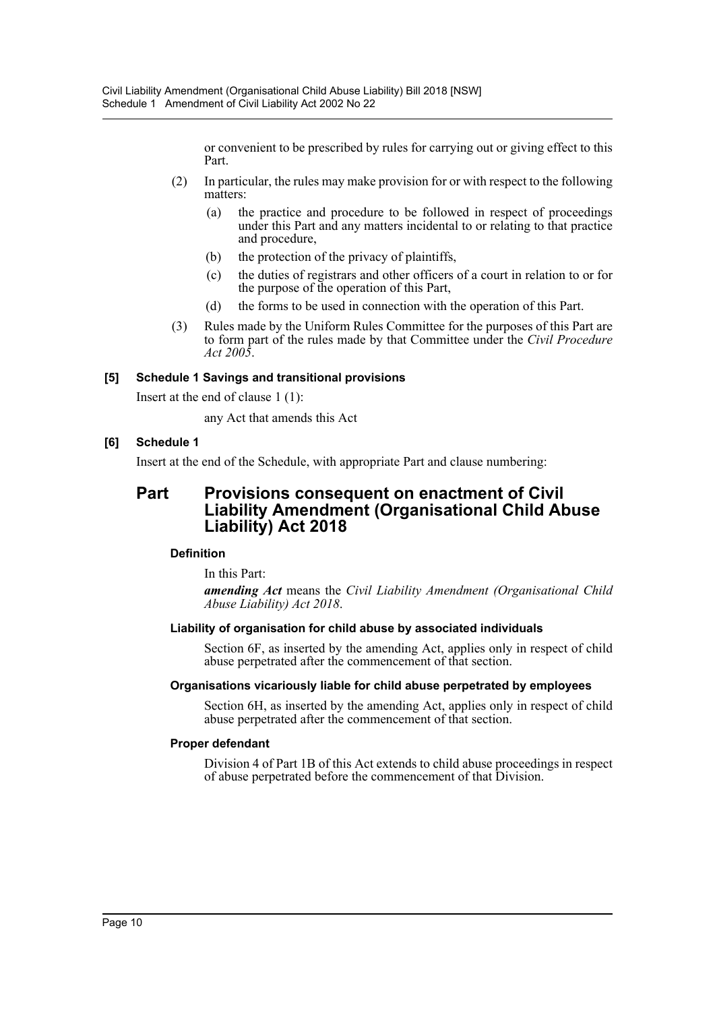or convenient to be prescribed by rules for carrying out or giving effect to this Part.

- (2) In particular, the rules may make provision for or with respect to the following matters:
	- (a) the practice and procedure to be followed in respect of proceedings under this Part and any matters incidental to or relating to that practice and procedure,
	- (b) the protection of the privacy of plaintiffs,
	- (c) the duties of registrars and other officers of a court in relation to or for the purpose of the operation of this Part,
	- (d) the forms to be used in connection with the operation of this Part.
- (3) Rules made by the Uniform Rules Committee for the purposes of this Part are to form part of the rules made by that Committee under the *Civil Procedure Act 2005*.

#### **[5] Schedule 1 Savings and transitional provisions**

Insert at the end of clause 1 (1):

any Act that amends this Act

## **[6] Schedule 1**

Insert at the end of the Schedule, with appropriate Part and clause numbering:

# **Part Provisions consequent on enactment of Civil Liability Amendment (Organisational Child Abuse Liability) Act 2018**

## **Definition**

In this Part:

*amending Act* means the *Civil Liability Amendment (Organisational Child Abuse Liability) Act 2018*.

## **Liability of organisation for child abuse by associated individuals**

Section 6F, as inserted by the amending Act, applies only in respect of child abuse perpetrated after the commencement of that section.

#### **Organisations vicariously liable for child abuse perpetrated by employees**

Section 6H, as inserted by the amending Act, applies only in respect of child abuse perpetrated after the commencement of that section.

#### **Proper defendant**

Division 4 of Part 1B of this Act extends to child abuse proceedings in respect of abuse perpetrated before the commencement of that Division.